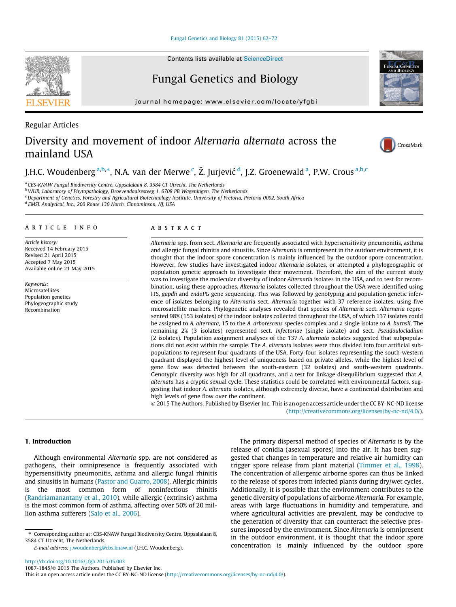[Fungal Genetics and Biology 81 \(2015\) 62–72](http://dx.doi.org/10.1016/j.fgb.2015.05.003)

Contents lists available at [ScienceDirect](http://www.sciencedirect.com/science/journal/10871845)

Fungal Genetics and Biology

journal homepage: [www.elsevier.com/locate/yfgbi](http://www.elsevier.com/locate/yfgbi)

# Regular Articles Diversity and movement of indoor Alternaria alternata across the mainland USA

J.H.C. Woudenberg <sup>a,b,\*</sup>, N.A. van der Merwe <sup>c</sup>, Ž. Jurjević <sup>d</sup>, J.Z. Groenewald <sup>a</sup>, P.W. Crous <sup>a,b,c</sup>

<sup>a</sup> CBS-KNAW Fungal Biodiversity Centre, Uppsalalaan 8, 3584 CT Utrecht, The Netherlands

<sup>b</sup> WUR, Laboratory of Phytopathology, Droevendaalsesteeg 1, 6708 PB Wageningen, The Netherlands

<sup>c</sup> Department of Genetics, Forestry and Agricultural Biotechnology Institute, University of Pretoria, Pretoria 0002, South Africa

<sup>d</sup> EMSL Analytical, Inc., 200 Route 130 North, Cinnaminson, NJ, USA

#### article info

Article history: Received 14 February 2015 Revised 21 April 2015 Accepted 7 May 2015 Available online 21 May 2015

Keywords: Microsatellites Population genetics Phylogeographic study Recombination

## **ABSTRACT**

Alternaria spp. from sect. Alternaria are frequently associated with hypersensitivity pneumonitis, asthma and allergic fungal rhinitis and sinusitis. Since Alternaria is omnipresent in the outdoor environment, it is thought that the indoor spore concentration is mainly influenced by the outdoor spore concentration. However, few studies have investigated indoor Alternaria isolates, or attempted a phylogeographic or population genetic approach to investigate their movement. Therefore, the aim of the current study was to investigate the molecular diversity of indoor Alternaria isolates in the USA, and to test for recombination, using these approaches. Alternaria isolates collected throughout the USA were identified using ITS, gapdh and endoPG gene sequencing. This was followed by genotyping and population genetic inference of isolates belonging to Alternaria sect. Alternaria together with 37 reference isolates, using five microsatellite markers. Phylogenetic analyses revealed that species of Alternaria sect. Alternaria represented 98% (153 isolates) of the indoor isolates collected throughout the USA, of which 137 isolates could be assigned to A. alternata, 15 to the A. arborescens species complex and a single isolate to A. burnsii. The remaining 2% (3 isolates) represented sect. Infectoriae (single isolate) and sect. Pseudoulocladium (2 isolates). Population assignment analyses of the 137 A. alternata isolates suggested that subpopulations did not exist within the sample. The A. alternata isolates were thus divided into four artificial subpopulations to represent four quadrants of the USA. Forty-four isolates representing the south-western quadrant displayed the highest level of uniqueness based on private alleles, while the highest level of gene flow was detected between the south-eastern (32 isolates) and south-western quadrants. Genotypic diversity was high for all quadrants, and a test for linkage disequilibrium suggested that A. alternata has a cryptic sexual cycle. These statistics could be correlated with environmental factors, suggesting that indoor A. alternata isolates, although extremely diverse, have a continental distribution and high levels of gene flow over the continent.

- 2015 The Authors. Published by Elsevier Inc. This is an open access article under the CC BY-NC-ND license (<http://creativecommons.org/licenses/by-nc-nd/4.0/>).

## 1. Introduction

Although environmental Alternaria spp. are not considered as pathogens, their omnipresence is frequently associated with hypersensitivity pneumonitis, asthma and allergic fungal rhinitis and sinusitis in humans ([Pastor and Guarro, 2008](#page-10-0)). Allergic rhinitis is the most common form of noninfectious rhinitis ([Randriamanantany et al., 2010\)](#page-10-0), while allergic (extrinsic) asthma is the most common form of asthma, affecting over 50% of 20 million asthma sufferers ([Salo et al., 2006](#page-10-0)).

<http://dx.doi.org/10.1016/j.fgb.2015.05.003>

The primary dispersal method of species of Alternaria is by the release of conidia (asexual spores) into the air. It has been suggested that changes in temperature and relative air humidity can trigger spore release from plant material ([Timmer et al., 1998\)](#page-10-0). The concentration of allergenic airborne spores can thus be linked to the release of spores from infected plants during dry/wet cycles. Additionally, it is possible that the environment contributes to the genetic diversity of populations of airborne Alternaria. For example, areas with large fluctuations in humidity and temperature, and where agricultural activities are prevalent, may be conducive to the generation of diversity that can counteract the selective pressures imposed by the environment. Since Alternaria is omnipresent in the outdoor environment, it is thought that the indoor spore concentration is mainly influenced by the outdoor spore







<sup>⇑</sup> Corresponding author at: CBS-KNAW Fungal Biodiversity Centre, Uppsalalaan 8, 3584 CT Utrecht, The Netherlands.

E-mail address: [j.woudenberg@cbs.knaw.nl](mailto:j.woudenberg@cbs.knaw.nl) (J.H.C. Woudenberg).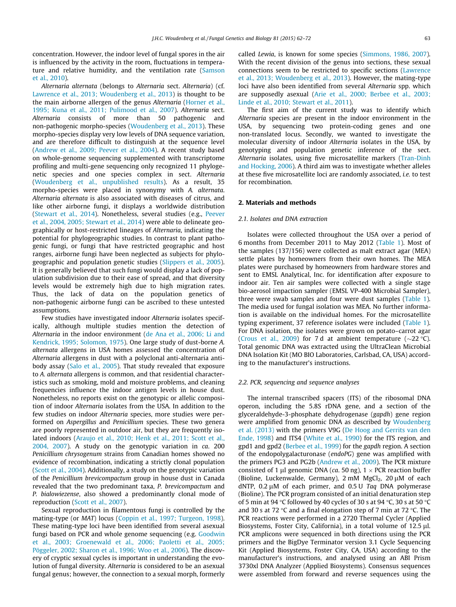concentration. However, the indoor level of fungal spores in the air is influenced by the activity in the room, fluctuations in temperature and relative humidity, and the ventilation rate [\(Samson](#page-10-0) [et al., 2010\)](#page-10-0).

Alternaria alternata (belongs to Alternaria sect. Alternaria) (cf. [Lawrence et al., 2013; Woudenberg et al., 2013\)](#page-10-0) is thought to be the main airborne allergen of the genus Alternaria ([Horner et al.,](#page-10-0) [1995; Kuna et al., 2011; Pulimood et al., 2007\)](#page-10-0). Alternaria sect. Alternaria consists of more than 50 pathogenic and non-pathogenic morpho-species ([Woudenberg et al., 2013](#page-10-0)). These morpho-species display very low levels of DNA sequence variation, and are therefore difficult to distinguish at the sequence level ([Andrew et al., 2009; Peever et al., 2004](#page-9-0)). A recent study based on whole-genome sequencing supplemented with transcriptome profiling and multi-gene sequencing only recognized 11 phylogenetic species and one species complex in sect. Alternaria ([Woudenberg et al., unpublished results](#page-10-0)). As a result, 35 morpho-species were placed in synonymy with A. alternata. Alternaria alternata is also associated with diseases of citrus, and like other airborne fungi, it displays a worldwide distribution ([Stewart et al., 2014\)](#page-10-0). Nonetheless, several studies (e.g., [Peever](#page-10-0) [et al., 2004, 2005; Stewart et al., 2014](#page-10-0)) were able to delineate geographically or host-restricted lineages of Alternaria, indicating the potential for phylogeographic studies. In contrast to plant pathogenic fungi, or fungi that have restricted geographic and host ranges, airborne fungi have been neglected as subjects for phylogeographic and population genetic studies [\(Slippers et al., 2005\)](#page-10-0). It is generally believed that such fungi would display a lack of population subdivision due to their ease of spread, and that diversity levels would be extremely high due to high migration rates. Thus, the lack of data on the population genetics of non-pathogenic airborne fungi can be ascribed to these untested assumptions.

Few studies have investigated indoor Alternaria isolates specifically, although multiple studies mention the detection of Alternaria in the indoor environment ([de Ana et al., 2006; Li and](#page-9-0) [Kendrick, 1995; Solomon, 1975\)](#page-9-0). One large study of dust-borne A. alternata allergens in USA homes assessed the concentration of Alternaria allergens in dust with a polyclonal anti-alternaria antibody assay [\(Salo et al., 2005\)](#page-10-0). That study revealed that exposure to A. alternata allergens is common, and that residential characteristics such as smoking, mold and moisture problems, and cleaning frequencies influence the indoor antigen levels in house dust. Nonetheless, no reports exist on the genotypic or allelic composition of indoor Alternaria isolates from the USA. In addition to the few studies on indoor Alternaria species, more studies were performed on Aspergillus and Penicillium species. These two genera are poorly represented in outdoor air, but they are frequently isolated indoors [\(Araujo et al., 2010; Henk et al., 2011; Scott et al.,](#page-9-0) [2004, 2007\)](#page-9-0). A study on the genotypic variation in ca. 200 Penicillium chrysogenum strains from Canadian homes showed no evidence of recombination, indicating a strictly clonal population ([Scott et al., 2004\)](#page-10-0). Additionally, a study on the genotypic variation of the Penicillium brevicompactum group in house dust in Canada revealed that the two predominant taxa, P. brevicompactum and P. bialowiezense, also showed a predominantly clonal mode of reproduction [\(Scott et al., 2007\)](#page-10-0).

Sexual reproduction in filamentous fungi is controlled by the mating-type (or MAT) locus ([Coppin et al., 1997; Turgeon, 1998\)](#page-9-0). These mating-type loci have been identified from several asexual fungi based on PCR and whole genome sequencing (e.g. [Goodwin](#page-9-0) [et al., 2003; Groenewald et al., 2006; Paoletti et al., 2005;](#page-9-0) [Pöggeler, 2002; Sharon et al., 1996; Woo et al., 2006](#page-9-0)). The discovery of cryptic sexual cycles is important in understanding the evolution of fungal diversity. Alternaria is considered to be an asexual fungal genus; however, the connection to a sexual morph, formerly called Lewia, is known for some species ([Simmons, 1986, 2007\)](#page-10-0). With the recent division of the genus into sections, these sexual connections seem to be restricted to specific sections ([Lawrence](#page-10-0) [et al., 2013; Woudenberg et al., 2013](#page-10-0)). However, the mating-type loci have also been identified from several Alternaria spp. which are supposedly asexual ([Arie et al., 2000; Berbee et al., 2003;](#page-9-0) [Linde et al., 2010; Stewart et al., 2011](#page-9-0)).

The first aim of the current study was to identify which Alternaria species are present in the indoor environment in the USA, by sequencing two protein-coding genes and one non-translated locus. Secondly, we wanted to investigate the molecular diversity of indoor Alternaria isolates in the USA, by genotyping and population genetic inference of the sect. Alternaria isolates, using five microsatellite markers ([Tran-Dinh](#page-10-0) [and Hocking, 2006\)](#page-10-0). A third aim was to investigate whether alleles at these five microsatellite loci are randomly associated, i.e. to test for recombination.

## 2. Materials and methods

## 2.1. Isolates and DNA extraction

Isolates were collected throughout the USA over a period of 6 months from December 2011 to May 2012 ([Table 1\)](#page-2-0). Most of the samples (137/156) were collected as malt extract agar (MEA) settle plates by homeowners from their own homes. The MEA plates were purchased by homeowners from hardware stores and sent to EMSL Analytical, Inc. for identification after exposure to indoor air. Ten air samples were collected with a single stage bio-aerosol impaction sampler (EMSL VP-400 Microbial Sampler), three were swab samples and four were dust samples [\(Table 1\)](#page-2-0). The media used for fungal isolation was MEA. No further information is available on the individual homes. For the microsatellite typing experiment, 37 reference isolates were included ([Table 1\)](#page-2-0). For DNA isolation, the isolates were grown on potato–carrot agar ([Crous et al., 2009\)](#page-9-0) for 7 d at ambient temperature ( $\sim$ 22 °C). Total genomic DNA was extracted using the UltraClean Microbial DNA Isolation Kit (MO BIO Laboratories, Carlsbad, CA, USA) according to the manufacturer's instructions.

#### 2.2. PCR, sequencing and sequence analyses

The internal transcribed spacers (ITS) of the ribosomal DNA operon, including the 5.8S rDNA gene, and a section of the glyceraldehyde-3-phosphate dehydrogenase (gapdh) gene region were amplified from genomic DNA as described by [Woudenberg](#page-10-0) [et al. \(2013\)](#page-10-0) with the primers V9G ([De Hoog and Gerrits van den](#page-9-0) [Ende, 1998](#page-9-0)) and ITS4 ([White et al., 1990\)](#page-10-0) for the ITS region, and gpd1 and gpd2 [\(Berbee et al., 1999\)](#page-9-0) for the gapdh region. A section of the endopolygalacturonase (endoPG) gene was amplified with the primers PG3 and PG2b ([Andrew et al., 2009\)](#page-9-0). The PCR mixture consisted of 1 µl genomic DNA (ca. 50 ng),  $1 \times PCR$  reaction buffer (Bioline, Luckenwalde, Germany),  $2 \text{ mM } MgCl<sub>2</sub>$ ,  $20 \mu \text{M}$  of each dNTP,  $0.2 \mu M$  of each primer, and  $0.5 U$  Taq DNA polymerase (Bioline). The PCR program consisted of an initial denaturation step of 5 min at 94 °C followed by 40 cycles of 30 s at 94 °C, 30 s at 50 °C and 30 s at 72  $\degree$ C and a final elongation step of 7 min at 72  $\degree$ C. The PCR reactions were performed in a 2720 Thermal Cycler (Applied Biosystems, Foster City, California), in a total volume of  $12.5 \mu$ l. PCR amplicons were sequenced in both directions using the PCR primers and the BigDye Terminator version 3.1 Cycle Sequencing Kit (Applied Biosystems, Foster City, CA, USA) according to the manufacturer's instructions, and analysed using an ABI Prism 3730xl DNA Analyzer (Applied Biosystems). Consensus sequences were assembled from forward and reverse sequences using the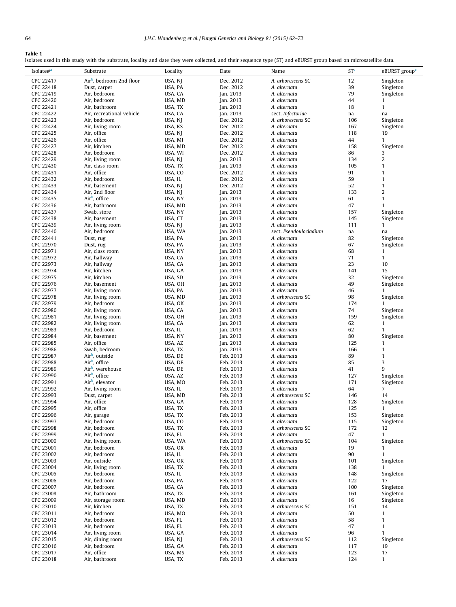# <span id="page-2-0"></span>Table 1

Isolates used in this study with the substrate, locality and date they were collected, and their sequence type (ST) and eBURST group based on microsatellite data.

|                        |                                      |                    |                        | J L<br>U<br>- 13             |                 |                              |
|------------------------|--------------------------------------|--------------------|------------------------|------------------------------|-----------------|------------------------------|
| Isolate $#^a$          | Substrate                            | Locality           | Date                   | Name                         | ST <sup>c</sup> | eBURST group <sup>c</sup>    |
| CPC 22417              | Air <sup>b</sup> , bedroom 2nd floor | USA, NJ            | Dec. 2012              | A. arborescens SC            | 12              | Singleton                    |
| CPC 22418              | Dust, carpet                         | USA, PA            | Dec. 2012              | A. alternata                 | 39              | Singleton                    |
| CPC 22419              | Air, bedroom                         | USA, CA            | Jan. 2013              | A. alternata                 | 79              | Singleton                    |
| CPC 22420              | Air, bedroom                         | USA, MD            | Jan. 2013              | A. alternata                 | 44              | $\mathbf{1}$                 |
| CPC 22421              | Air, bathroom                        | USA, TX            | Jan. 2013              | A. alternata                 | 18              | $\mathbf{1}$                 |
| CPC 22422              | Air, recreational vehicle            | USA, CA            | Jan. 2013              | sect. Infectoriae            | na              | na                           |
| CPC 22423              | Air, bedroom                         | USA, NJ            | Dec. 2012              | A. arborescens SC            | 106             | Singleton                    |
| CPC 22424              | Air, living room                     | USA, KS            | Dec. 2012              | A. alternata                 | 167             | Singleton                    |
| CPC 22425              | Air, office                          | USA, NJ            | Dec. 2012              | A. alternata                 | 118             | 19                           |
| CPC 22426              | Air, office                          | USA, MI            | Dec. 2012              | A. alternata                 | 44              | $\mathbf{1}$                 |
| CPC 22427              | Air, kitchen                         | USA, MD            | Dec. 2012              | A. alternata                 | 158             | Singleton                    |
| CPC 22428              | Air, bedroom                         | USA, WI            | Dec. 2012              | A. alternata                 | 86              | 3                            |
| CPC 22429              | Air, living room                     | USA, NJ            | Jan. 2013              | A. alternata                 | 134             | 2                            |
| CPC 22430              | Air, class room                      | USA, TX            | Jan. 2013              | A. alternata<br>A. alternata | 105<br>91       | $\mathbf{1}$<br>$\mathbf{1}$ |
| CPC 22431<br>CPC 22432 | Air, office<br>Air, bedroom          | USA, CO<br>USA, IL | Dec. 2012<br>Dec. 2012 | A. alternata                 | 59              | $\mathbf{1}$                 |
| CPC 22433              | Air, basement                        | USA, NJ            | Dec. 2012              | A. alternata                 | 52              | $\mathbf{1}$                 |
| CPC 22434              | Air, 2nd floor                       | USA, NJ            | Jan. 2013              | A. alternata                 | 133             | $\overline{c}$               |
| CPC 22435              | Air <sup>b</sup> , office            | USA, NY            | Jan. 2013              | A. alternata                 | 61              | $\mathbf{1}$                 |
| CPC 22436              | Air, bathroom                        | USA, MD            | Jan. 2013              | A. alternata                 | 47              | $\mathbf{1}$                 |
| CPC 22437              | Swab, store                          | USA, NY            | Jan. 2013              | A. alternata                 | 157             | Singleton                    |
| CPC 22438              | Air, basement                        | USA, CT            | Jan. 2013              | A. alternata                 | 145             | Singleton                    |
| CPC 22439              | Air, living room                     | USA, NJ            | Jan. 2013              | A. alternata                 | 111             | $\mathbf{1}$                 |
| CPC 22440              | Air, bedroom                         | USA, WA            | Jan. 2013              | sect. Pseudoulocladium       | na              | na                           |
| CPC 22441              | Dust, rug                            | USA, PA            | Jan. 2013              | A. alternata                 | 82              | Singleton                    |
| CPC 22970              | Dust, rug                            | USA, PA            | Jan. 2013              | A. alternata                 | 67              | Singleton                    |
| CPC 22971              | Air, class room                      | USA, NY            | Jan. 2013              | A. alternata                 | 68              | $\mathbf{1}$                 |
| CPC 22972              | Air, hallway                         | USA, CA            | Jan. 2013              | A. alternata                 | 71              | $\mathbf{1}$                 |
| CPC 22973              | Air, hallway                         | USA, CA            | Jan. 2013              | A. alternata                 | 23              | 10                           |
| CPC 22974              | Air, kitchen                         | USA, GA            | Jan. 2013              | A. alternata                 | 141             | 15                           |
| CPC 22975              | Air, kitchen                         | USA, SD            | Jan. 2013              | A. alternata                 | 32              | Singleton                    |
| CPC 22976              | Air, basement                        | USA, OH            | Jan. 2013              | A. alternata                 | 49              | Singleton                    |
| CPC 22977              | Air, living room                     | USA, PA            | Jan. 2013              | A. alternata                 | 46              | $\mathbf{1}$                 |
| CPC 22978              | Air, living room                     | USA, MD            | Jan. 2013              | A. arborescens SC            | 98              | Singleton                    |
| CPC 22979              | Air, bedroom                         | USA, OK            | Jan. 2013              | A. alternata                 | 174             | $\mathbf{1}$                 |
| CPC 22980              | Air, living room                     | USA, CA            | Jan. 2013              | A. alternata                 | 74              | Singleton                    |
| CPC 22981              | Air, living room                     | USA, OH            | Jan. 2013              | A. alternata                 | 159             | Singleton                    |
| CPC 22982              | Air, living room                     | USA, CA            | Jan. 2013              | A. alternata                 | 62              | $\mathbf{1}$                 |
| CPC 22983              | Air, bedroom                         | USA, IL            | Jan. 2013              | A. alternata                 | 62              | $\mathbf{1}$                 |
| CPC 22984              | Air, basement                        | USA, NY            | Jan. 2013              | A. alternata                 | 80              | Singleton                    |
| CPC 22985              | Air, office                          | USA, AZ            | Jan. 2013              | A. alternata                 | 125             | $\mathbf{1}$                 |
| CPC 22986              | Swab, bedroom                        | USA, TX            | Jan. 2013              | A. alternata                 | 166             | $\mathbf{1}$                 |
| CPC 22987              | Air <sup>b</sup> , outside           | USA, DE            | Feb. 2013              | A. alternata                 | 89              | $\mathbf{1}$                 |
| CPC 22988              | Air <sup>b</sup> , office            | USA, DE            | Feb. 2013              | A. alternata                 | 85              | 3                            |
| CPC 22989              | Air <sup>b</sup> , warehouse         | USA, DE            | Feb. 2013              | A. alternata                 | 41              | 9                            |
| CPC 22990              | Air <sup>b</sup> , office            | USA, AZ            | Feb. 2013              | A. alternata                 | 127             | Singleton                    |
| CPC 22991              | Air <sup>b</sup> , elevator          | USA, MO            | Feb. 2013              | A. alternata                 | 171             | Singleton                    |
| CPC 22992              | Air, living room                     | USA, IL            | Feb. 2013              | A. alternata                 | 64              | 7                            |
| CPC 22993              | Dust, carpet                         | USA, MD            | Feb. 2013              | A. arborescens SC            | 146             | 14                           |
| CPC 22994              | Air, office                          | USA, GA            | Feb. 2013              | A. alternata                 | 128             | Singleton                    |
| CPC 22995              | Air, office                          | USA, TX<br>USA, TX | Feb. 2013              | A. alternata<br>A. alternata | 125<br>153      | $\mathbf{1}$                 |
| CPC 22996<br>CPC 22997 | Air, garage<br>Air, bedroom          | USA, CO            | Feb. 2013<br>Feb. 2013 | A. alternata                 | 115             | Singleton<br>Singleton       |
| CPC 22998              | Air, bedroom                         | USA, TX            | Feb. 2013              | A. arborescens SC            | 172             | 12                           |
| CPC 22999              | Air, bedroom                         | USA, FL            | Feb. 2013              | A. alternata                 | 47              | $\mathbf{1}$                 |
| CPC 23000              | Air, living room                     | USA, WA            | Feb. 2013              | A. arborescens SC            | 104             | Singleton                    |
| CPC 23001              | Air, bedroom                         | USA, OR            | Feb. 2013              | A. alternata                 | 19              | $\mathbf{1}$                 |
| CPC 23002              | Air, bedroom                         | USA, IL            | Feb. 2013              | A. alternata                 | 90              | $\mathbf{1}$                 |
| CPC 23003              | Air, outside                         | USA, OK            | Feb. 2013              | A. alternata                 | 101             | Singleton                    |
| CPC 23004              | Air, living room                     | USA, TX            | Feb. 2013              | A. alternata                 | 138             | $\mathbf{1}$                 |
| CPC 23005              | Air. bedroom                         | USA, IL            | Feb. 2013              | A. alternata                 | 148             | Singleton                    |
| CPC 23006              | Air, bedroom                         | USA, PA            | Feb. 2013              | A. alternata                 | 122             | 17                           |
| CPC 23007              | Air, bedroom                         | USA, CA            | Feb. 2013              | A. alternata                 | 100             | Singleton                    |
| CPC 23008              | Air, bathroom                        | USA, TX            | Feb. 2013              | A. alternata                 | 161             | Singleton                    |
| CPC 23009              | Air, storage room                    | USA, MD            | Feb. 2013              | A. alternata                 | 16              | Singleton                    |
| CPC 23010              | Air, kitchen                         | USA, TX            | Feb. 2013              | A. arborescens SC            | 151             | 14                           |
| CPC 23011              | Air, bedroom                         | USA, MO            | Feb. 2013              | A. alternata                 | 50              | $\mathbf{1}$                 |
| CPC 23012              | Air, bedroom                         | USA, FL            | Feb. 2013              | A. alternata                 | 58              | $\mathbf{1}$                 |
| CPC 23013              | Air, bedroom                         | USA, FL            | Feb. 2013              | A. alternata                 | 47              | $\mathbf{1}$                 |
| CPC 23014              | Air, living room                     | USA, GA            | Feb. 2013              | A. alternata                 | 96              | $\mathbf{1}$                 |
| CPC 23015              | Air, dining room                     | USA, NJ            | Feb. 2013              | A. arborescens SC            | 112             | Singleton                    |
| CPC 23016              | Air, bedroom                         | USA, GA            | Feb. 2013              | A. alternata                 | 117             | 19                           |
| CPC 23017              | Air, office                          | USA, MS            | Feb. 2013              | A. alternata                 | 123             | 17                           |
| CPC 23018              | Air, bathroom                        | USA, TX            | Feb. 2013              | A. alternata                 | 124             | $\mathbf{1}$                 |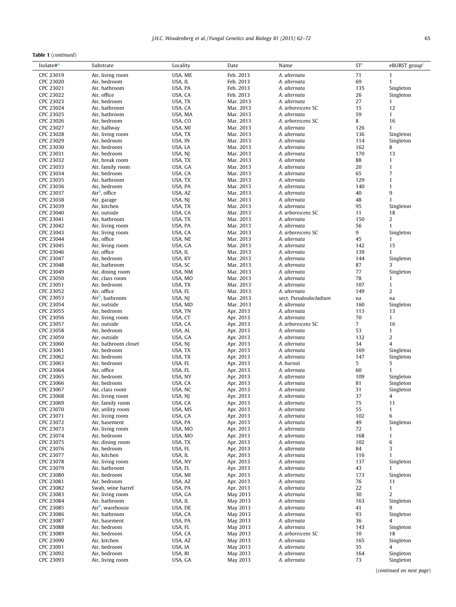## Table 1 (continued)

| Isolate $#^a$          | Substrate                        | Locality           | Date                   | Name                              | ST <sup>c</sup> | eBURST group <sup>c</sup> |
|------------------------|----------------------------------|--------------------|------------------------|-----------------------------------|-----------------|---------------------------|
| CPC 23019              | Air, living room                 | USA, ME            | Feb. 2013              | A. alternata                      | 71              | $\mathbf{1}$              |
| CPC 23020              | Air, bedroom                     | USA, IL            | Feb. 2013              | A. alternata                      | 69              | $\mathbf{1}$              |
| CPC 23021              | Air, bathroom                    | USA, PA            | Feb. 2013              | A. alternata                      | 135             | Singleton                 |
| CPC 23022              | Air, office                      | USA, CA            | Feb. 2013              | A. alternata                      | 26              | Singleton                 |
| CPC 23023              | Air, bedroom                     | USA, TX            | Mar. 2013              | A. alternata                      | 27              | $\mathbf{1}$              |
| CPC 23024              | Air, bathroom                    | USA, CA            | Mar. 2013              | A. arborescens SC                 | 15              | 12                        |
| CPC 23025              | Air, bathroom                    | USA, MA            | Mar. 2013              | A. alternata                      | 59              | $\mathbf{1}$              |
| CPC 23026              | Air, bedroom                     | USA, CO            | Mar. 2013              | A. arborescens SC                 | 8               | 16                        |
| CPC 23027              | Air, hallway                     | USA, MI            | Mar. 2013              | A. alternata                      | 126             | $\mathbf{1}$              |
| CPC 23028<br>CPC 23029 | Air, living room<br>Air, bedroom | USA, TX<br>USA, IN | Mar. 2013<br>Mar. 2013 | A. alternata<br>A. alternata      | 136<br>114      | Singleton<br>Singleton    |
| CPC 23030              | Air, bedroom                     | USA, LA            | Mar. 2013              | A. alternata                      | 162             | 8                         |
| CPC 23031              | Air, bedroom                     | USA, NJ            | Mar. 2013              | A. alternata                      | 170             | 13                        |
| CPC 23032              | Air, break room                  | USA, TX            | Mar. 2013              | A. alternata                      | 88              | $\mathbf{1}$              |
| CPC 23033              | Air, family room                 | USA, GA            | Mar. 2013              | A. alternata                      | 20              | $\mathbf{1}$              |
| CPC 23034              | Air, bedroom                     | USA, CA            | Mar. 2013              | A. alternata                      | 65              | $\overline{7}$            |
| CPC 23035              | Air, bathroom                    | USA, TX            | Mar. 2013              | A. alternata                      | 129             | $\mathbf{1}$              |
| CPC 23036              | Air, bedroom                     | USA, PA            | Mar. 2013              | A. alternata                      | 140             | $\mathbf{1}$              |
| CPC 23037              | Air <sup>b</sup> , office        | USA, AZ            | Mar. 2013              | A. alternata                      | 40              | 9                         |
| CPC 23038              | Air, garage                      | USA, NJ            | Mar. 2013              | A. alternata                      | 48              | $\mathbf{1}$              |
| CPC 23039              | Air, kitchen                     | USA, TX            | Mar. 2013              | A. alternata                      | 95              | Singleton                 |
| CPC 23040              | Air, outside                     | USA, CA            | Mar. 2013              | A. arborescens SC                 | 11              | 18                        |
| CPC 23041              | Air, bathroom                    | USA, TX            | Mar. 2013              | A. alternata                      | 150             | 2                         |
| CPC 23042              | Air, living room                 | USA, PA            | Mar. 2013              | A. alternata                      | 56              | $\mathbf{1}$              |
| CPC 23043              | Air, living room                 | USA, CA            | Mar. 2013              | A. arborescens SC<br>A. alternata | 9<br>45         | Singleton                 |
| CPC 23044<br>CPC 23045 | Air, office<br>Air, living room  | USA, NE<br>USA, GA | Mar. 2013<br>Mar. 2013 | A. alternata                      | 142             | $\mathbf{1}$<br>15        |
| CPC 23046              | Air, office                      | USA, IL            | Mar. 2013              | A. alternata                      | 139             | $\mathbf{1}$              |
| CPC 23047              | Air, bedroom                     | USA, KY            | Mar. 2013              | A. alternata                      | 144             | Singleton                 |
| CPC 23048              | Air, bathroom                    | USA, SC            | Mar. 2013              | A. alternata                      | 87              | 3                         |
| CPC 23049              | Air, dining room                 | USA, NM            | Mar. 2013              | A. alternata                      | 77              | Singleton                 |
| CPC 23050              | Air, class room                  | USA, MO            | Mar. 2013              | A. alternata                      | 78              | $\mathbf{1}$              |
| CPC 23051              | Air, bedroom                     | USA, TX            | Mar. 2013              | A. alternata                      | 107             | $\mathbf{1}$              |
| CPC 23052              | Air, office                      | USA, FL            | Mar. 2013              | A. alternata                      | 149             | $\overline{2}$            |
| CPC 23053              | Air <sup>b</sup> , bathroom      | USA, NJ            | Mar. 2013              | sect. Pseudoulocladium            | na              | na                        |
| CPC 23054              | Air, outside                     | USA, MD            | Mar. 2013              | A. alternata                      | 160             | Singleton                 |
| CPC 23055              | Air, bedroom                     | USA, TN            | Apr. 2013              | A. alternata                      | 113             | 13                        |
| CPC 23056              | Air, living room                 | USA, CT            | Apr. 2013              | A. alternata                      | 70              | $\mathbf{1}$              |
| CPC 23057              | Air, outside                     | USA, CA            | Apr. 2013              | A. arborescens SC                 | $\overline{7}$  | 16                        |
| CPC 23058              | Air, bedroom                     | USA, AL            | Apr. 2013              | A. alternata                      | 53              | $\mathbf{1}$              |
| CPC 23059              | Air, outside                     | USA, GA            | Apr. 2013              | A. alternata                      | 132             | $\overline{2}$            |
| CPC 23060              | Air, bathroom closet             | USA, NJ            | Apr. 2013              | A. alternata                      | 34              | 4                         |
| CPC 23061<br>CPC 23062 | Air, bedroom<br>Air, bedroom     | USA, TX<br>USA, TX | Apr. 2013<br>Apr. 2013 | A. alternata<br>A. alternata      | 169<br>147      | Singleton<br>Singleton    |
| CPC 23063              | Air, bedroom                     | USA, FL            | Apr. 2013              | A. burnsii                        | 5               | 5                         |
| CPC 23064              | Air, office                      | USA, FL            | Apr. 2013              | A. alternata                      | 60              | $\mathbf{1}$              |
| CPC 23065              | Air, bedroom                     | USA, NY            | Apr. 2013              | A. alternata                      | 109             | Singleton                 |
| CPC 23066              | Air, bedroom                     | USA, CA            | Apr. 2013              | A. alternata                      | 81              | Singleton                 |
| CPC 23067              | Air, class room                  | USA, NC            | Apr. 2013              | A. alternata                      | 31              | Singleton                 |
| CPC 23068              | Air, living room                 | USA, NJ            | Apr. 2013              | A. alternata                      | 37              | 4                         |
| CPC 23069              | Air, family room                 | USA, CA            | Apr. 2013              | A. alternata                      | 75              | 11                        |
| CPC 23070              | Air, utility room                | USA, MS            | Apr. 2013              | A. alternata                      | 55              | $\mathbf{1}$              |
| CPC 23071              | Air, living room                 | USA, CA            | Apr. 2013              | A. alternata                      | 102             | 6                         |
| CPC 23072              | Air, basement                    | USA, PA            | Apr. 2013              | A. alternata                      | 49              | Singleton                 |
| CPC 23073              | Air, living room                 | USA, MO            | Apr. 2013              | A. alternata                      | 72              | 1                         |
| CPC 23074              | Air, bedroom                     | USA, MO            | Apr. 2013              | A. alternata                      | 168             | $\mathbf{1}$              |
| CPC 23075              | Air, dining room                 | USA, TX            | Apr. 2013              | A. alternata                      | 102             | 6                         |
| CPC 23076              | Air, bedroom<br>Air, kitchen     | USA, FL            | Apr. 2013<br>Apr. 2013 | A. alternata<br>A. alternata      | 84<br>116       | 3<br>$\mathbf{1}$         |
| CPC 23077<br>CPC 23078 | Air, living room                 | USA, IL<br>USA, NY | Apr. 2013              | A. alternata                      | 137             | Singleton                 |
| CPC 23079              | Air, bathroom                    | USA, FL            | Apr. 2013              | A. alternata                      | 43              | $\mathbf{1}$              |
| CPC 23080              | Air, bedroom                     | USA, MI            | Apr. 2013              | A. alternata                      | 173             | Singleton                 |
| CPC 23081              | Air, bedroom                     | USA, AZ            | Apr. 2013              | A. alternata                      | 76              | 11                        |
| CPC 23082              | Swab, wine barrel                | USA, PA            | Apr. 2013              | A. alternata                      | 22              | $\mathbf{1}$              |
| CPC 23083              | Air, living room                 | USA, GA            | May 2013               | A. alternata                      | 30              | $\overline{2}$            |
| CPC 23084              | Air, bathroom                    | USA, IL            | May 2013               | A. alternata                      | 163             | Singleton                 |
| CPC 23085              | Air <sup>b</sup> , warehouse     | USA, DE            | May 2013               | A. alternata                      | 41              | 9                         |
| CPC 23086              | Air, bathroom                    | USA, CA            | May 2013               | A. alternata                      | 93              | Singleton                 |
| CPC 23087              | Air, basement                    | USA, PA            | May 2013               | A. alternata                      | 36              | 4                         |
| CPC 23088              | Air, bedroom                     | USA, FL            | May 2013               | A. alternata                      | 143             | Singleton                 |
| CPC 23089              | Air, bedroom                     | USA, CA            | May 2013               | A. arborescens SC                 | 10              | 18                        |
| CPC 23090              | Air, kitchen                     | USA, AZ            | May 2013               | A. alternata                      | 165             | Singleton                 |
| CPC 23091              | Air, bedroom                     | USA, IA            | May 2013               | A. alternata                      | 35              | 4                         |
| CPC 23092              | Air, bedroom                     | USA, RI            | May 2013               | A. alternata                      | 164             | Singleton                 |
| CPC 23093              | Air, living room                 | USA, GA            | May 2013               | A. alternata                      | 73              | Singleton                 |

(continued on next page)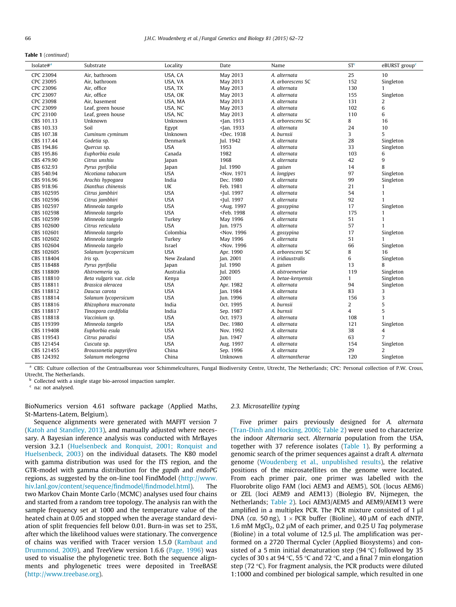## <span id="page-4-0"></span>Table 1 (continued)

| Isolate $#^a$ | Substrate                | Locality    | Date                                                                                          | Name               | ST <sup>c</sup> | eBURST group <sup>c</sup> |
|---------------|--------------------------|-------------|-----------------------------------------------------------------------------------------------|--------------------|-----------------|---------------------------|
| CPC 23094     | Air. bathroom            | USA, CA     | May 2013                                                                                      | A. alternata       | 25              | 10                        |
| CPC 23095     | Air. bathroom            | USA, VA     | May 2013                                                                                      | A. arborescens SC  | 152             | Singleton                 |
| CPC 23096     | Air. office              | USA, TX     | May 2013                                                                                      | A. alternata       | 130             | 1                         |
| CPC 23097     | Air. office              | USA, OK     | May 2013                                                                                      | A. alternata       | 155             | Singleton                 |
| CPC 23098     | Air, basement            | USA, MA     | May 2013                                                                                      | A. alternata       | 131             | 2                         |
| CPC 23099     | Leaf, green house        | USA, NC     | May 2013                                                                                      | A. alternata       | 102             | 6                         |
| CPC 23100     | Leaf, green house        | USA, NC     | May 2013                                                                                      | A. alternata       | 110             | 6                         |
| CBS 101.13    | Unknown                  | Unknown     | $<$ Jan. 1913                                                                                 | A. arborescens SC  | 8               | 16                        |
| CBS 103.33    | Soil                     | Egypt       | <jan. 1933<="" td=""><td>A. alternata</td><td>24</td><td>10</td></jan.>                       | A. alternata       | 24              | 10                        |
| CBS 107.38    | Cuminum cyminum          | Unknown     | <dec. 1938<="" td=""><td>A. burnsii</td><td>3</td><td>5</td></dec.>                           | A. burnsii         | 3               | 5                         |
| CBS 117.44    | Godetia sp.              | Denmark     | Jul. 1942                                                                                     | A. alternata       | 28              | Singleton                 |
| CBS 194.86    | Quercus sp.              | <b>USA</b>  | 1953                                                                                          | A. alternata       | 33              | Singleton                 |
| CBS 195.86    | Euphorbia esula          | Canada      | 1982                                                                                          | A. alternata       | 103             | 6                         |
| CBS 479.90    | Citrus unshiu            | Japan       | 1968                                                                                          | A. alternata       | 42              | 9                         |
| CBS 632.93    | Pyrus pyrifolia          | Japan       | Jul. 1990                                                                                     | A. gaisen          | 14              | 8                         |
| CBS 540.94    | Nicotiana tabacum        | <b>USA</b>  | <nov. 1971<="" td=""><td>A. longipes</td><td>97</td><td>Singleton</td></nov.>                 | A. longipes        | 97              | Singleton                 |
| CBS 916.96    | Arachis hypogaea         | India       | Dec. 1980                                                                                     | A. alternata       | 99              | Singleton                 |
| CBS 918.96    | Dianthus chinensis       | UK          | Feb. 1981                                                                                     | A. alternata       | 21              | 1                         |
| CBS 102595    | Citrus jambhiri          | <b>USA</b>  | <jul. 1997<="" td=""><td>A. alternata</td><td>54</td><td><math>\mathbf{1}</math></td></jul.>  | A. alternata       | 54              | $\mathbf{1}$              |
| CBS 102596    | Citrus jambhiri          | <b>USA</b>  | <jul. 1997<="" td=""><td>A. alternata</td><td>92</td><td><math>\mathbf{1}</math></td></jul.>  | A. alternata       | 92              | $\mathbf{1}$              |
| CBS 102597    | Minneola tangelo         | <b>USA</b>  | <aug. 1997<="" td=""><td>A. gossypina</td><td>17</td><td>Singleton</td></aug.>                | A. gossypina       | 17              | Singleton                 |
| CBS 102598    | Minneola tangelo         | <b>USA</b>  | <feb. 1998<="" td=""><td>A. alternata</td><td>175</td><td><math>\mathbf{1}</math></td></feb.> | A. alternata       | 175             | $\mathbf{1}$              |
| CBS 102599    | Minneola tangelo         | Turkey      | May 1996                                                                                      | A. alternata       | 51              | $\mathbf{1}$              |
| CBS 102600    | Citrus reticulata        | <b>USA</b>  | Jun. 1975                                                                                     | A. alternata       | 57              | $\mathbf{1}$              |
| CBS 102601    | Minneola tangelo         | Colombia    | <nov. 1996<="" td=""><td>A. gossypina</td><td>17</td><td>Singleton</td></nov.>                | A. gossypina       | 17              | Singleton                 |
| CBS 102602    | Minneola tangelo         | Turkey      | May 1996                                                                                      | A. alternata       | 51              | $\mathbf{1}$              |
| CBS 102604    | Minneola tangelo         | Israel      | <nov. 1996<="" td=""><td>A. alternata</td><td>66</td><td>Singleton</td></nov.>                | A. alternata       | 66              | Singleton                 |
| CBS 102605    | Solanum lycopersicum     | <b>USA</b>  | Apr. 1990                                                                                     | A. arborescens SC  | 8               | 16                        |
| CBS 118404    | Iris sp.                 | New Zealand | Jan. 2001                                                                                     | A. iridiaustralis  | 6               | Singleton                 |
| CBS 118488    | Pyrus pyrifolia          | Japan       | Jul. 1990                                                                                     | A. gaisen          | 13              | 8                         |
| CBS 118809    | Alstroemeria sp.         | Australia   | Jul. 2005                                                                                     | A. alstroemeriae   | 119             | Singleton                 |
| CBS 118810    | Beta vulgaris var. cicla | Kenya       | 2001                                                                                          | A. betae-kenyensis | $\mathbf{1}$    | Singleton                 |
| CBS 118811    | Brassica oleracea        | <b>USA</b>  | Apr. 1982                                                                                     | A. alternata       | 94              | Singleton                 |
| CBS 118812    | Daucus carota            | <b>USA</b>  | Jan. 1984                                                                                     | A. alternata       | 83              | 3                         |
| CBS 118814    | Solanum lycopersicum     | <b>USA</b>  | Jun. 1996                                                                                     | A. alternata       | 156             | 3                         |
| CBS 118816    | Rhizophora mucronata     | India       | Oct. 1995                                                                                     | A. burnsii         | $\overline{2}$  | 5                         |
| CBS 118817    | Tinospora cordifolia     | India       | Sep. 1987                                                                                     | A. burnsii         | $\overline{4}$  | 5                         |
| CBS 118818    | Vaccinium sp.            | <b>USA</b>  | Oct. 1973                                                                                     | A. alternata       | 108             | 1                         |
| CBS 119399    | Minneola tangelo         | <b>USA</b>  | Dec. 1980                                                                                     | A. alternata       | 121             | Singleton                 |
| CBS 119408    | Euphorbia esula          | <b>USA</b>  | Nov. 1992                                                                                     | A. alternata       | 38              | $\overline{4}$            |
| CBS 119543    | Citrus paradisi          | <b>USA</b>  | Jun. 1947                                                                                     | A. alternata       | 63              | 7                         |
| CBS 121454    | Cuscuta sp.              | <b>USA</b>  | Aug. 1997                                                                                     | A. alternata       | 154             | Singleton                 |
| CBS 121455    | Broussonetia papyrifera  | China       | Sep. 1996                                                                                     | A. alternata       | 29              | 2                         |
| CBS 124392    | Solanum melongena        | China       | Unknown                                                                                       | A. alternantherae  | 120             | Singleton                 |

<sup>a</sup> CBS: Culture collection of the Centraalbureau voor Schimmelcultures, Fungal Biodiversity Centre, Utrecht, The Netherlands; CPC: Personal collection of P.W. Crous, Utrecht, The Netherlands.

**b** Collected with a single stage bio-aerosol impaction sampler.

<sup>c</sup> na: not analysed.

BioNumerics version 4.61 software package (Applied Maths, St-Martens-Latem, Belgium).

Sequence alignments were generated with MAFFT version 7 ([Katoh and Standley, 2013](#page-10-0)), and manually adjusted where necessary. A Bayesian inference analysis was conducted with MrBayes version 3.2.1 ([Huelsenbeck and Ronquist, 2001; Ronquist and](#page-10-0) [Huelsenbeck, 2003\)](#page-10-0) on the individual datasets. The K80 model with gamma distribution was used for the ITS region, and the GTR-model with gamma distribution for the gapdh and endoPG regions, as suggested by the on-line tool FindModel [\(http://www.](http://www.hiv.lanl.gov/content/sequence/findmodel/findmodel.html) [hiv.lanl.gov/content/sequence/findmodel/findmodel.html\)](http://www.hiv.lanl.gov/content/sequence/findmodel/findmodel.html). The two Markov Chain Monte Carlo (MCMC) analyses used four chains and started from a random tree topology. The analysis ran with the sample frequency set at 1000 and the temperature value of the heated chain at 0.05 and stopped when the average standard deviation of split frequencies fell below 0.01. Burn-in was set to 25%, after which the likelihood values were stationary. The convergence of chains was verified with Tracer version 1.5.0 ([Rambaut and](#page-10-0) [Drummond, 2009](#page-10-0)), and TreeView version 1.6.6 ([Page, 1996\)](#page-10-0) was used to visualise the phylogenetic tree. Both the sequence alignments and phylogenetic trees were deposited in TreeBASE (<http://www.treebase.org>).

#### 2.3. Microsatellite typing

Five primer pairs previously designed for A. alternata ([Tran-Dinh and Hocking, 2006;](#page-10-0) [Table 2\)](#page-5-0) were used to characterize the indoor Alternaria sect. Alternaria population from the USA, together with 37 reference isolates [\(Table 1\)](#page-2-0). By performing a genomic search of the primer sequences against a draft A. alternata genome ([Woudenberg et al., unpublished results\)](#page-10-0), the relative positions of the microsatellites on the genome were located. From each primer pair, one primer was labelled with the Fluorobrite oligo FAM (loci AEM3 and AEM5), SOL (locus AEM6) or ZEL (loci AEM9 and AEM13) (Biolegio BV, Nijmegen, the Netherlands; [Table 2\)](#page-5-0). Loci AEM3/AEM5 and AEM9/AEM13 were amplified in a multiplex PCR. The PCR mixture consisted of  $1 \mu$ l DNA (ca. 50 ng),  $1 \times PCR$  buffer (Bioline), 40  $\mu$ M of each dNTP, 1.6 mM MgCl<sub>2</sub>, 0.2  $\mu$ M of each primer, and 0.25 U Taq polymerase (Bioline) in a total volume of  $12.5$   $\mu$ l. The amplification was performed on a 2720 Thermal Cycler (Applied Biosystems) and consisted of a 5 min initial denaturation step (94  $\degree$ C) followed by 35 cycles of 30 s at 94 °C, 55 °C and 72 °C, and a final 7 min elongation step (72 $\degree$ C). For fragment analysis, the PCR products were diluted 1:1000 and combined per biological sample, which resulted in one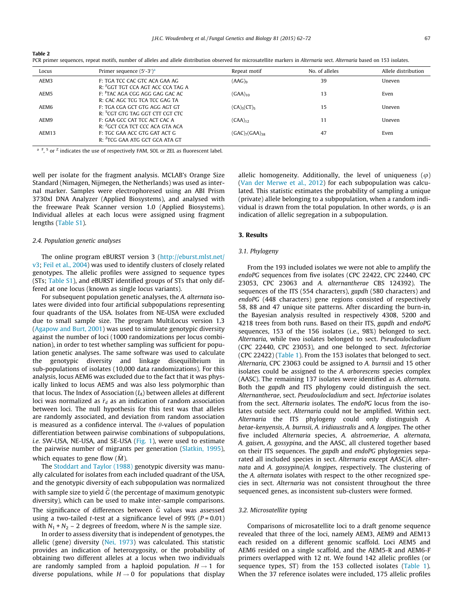J.H.C. Woudenberg et al. / Fungal Genetics and Biology 81 (2015) 62–72 67

<span id="page-5-0"></span>Table 2

PCR primer sequences, repeat motifs, number of alleles and allele distribution observed for microsatellite markers in Alternaria sect. Alternaria based on 153 isolates.

| Locus            | Primer sequence $(5'-3')^a$                                                    | Repeat motif          | No. of alleles | Allele distribution |
|------------------|--------------------------------------------------------------------------------|-----------------------|----------------|---------------------|
| AEM3             | F: TGA TCC CAC GTC ACA GAA AG<br>R: <sup>F</sup> GGT TGT CCA AGT ACC CCA TAG A | $(AdG)_{9}$           | 39             | Uneven              |
| AEM <sub>5</sub> | F: FTAC AGA CGG AGG GAG GAC AC<br>R: CAC AGC TCG TCA TCC GAG TA                | $(GAA)_{10}$          | 13             | Even                |
| AEM6             | F: TGA CGA GCT GTG AGG AGT GT<br>R: <sup>S</sup> CGT GTG TAG GGT CTT CGT CTC   | $(CA)_{5}(CT)_{5}$    | 15             | Uneven              |
| AEM9             | F: GAA GCC CAT TCC ACT CAC A<br>R: <sup>Z</sup> GCT CCA TCT CCC ACA GTA ACA    | $(CAA)_{12}$          | 11             | Uneven              |
| AEM13            | F: TGC GAA ACC GTG GAT ACT G<br>R: <sup>2</sup> TCG GAA ATG GCT GCA ATA GT     | $(GAC)_{7}(GAA)_{38}$ | 47             | Even                |

 $a F$ , S or <sup>Z</sup> indicates the use of respectively FAM, SOL or ZEL as fluorescent label.

well per isolate for the fragment analysis. MCLAB's Orange Size Standard (Nimagen, Nijmegen, the Netherlands) was used as internal marker. Samples were electrophoresed using an ABI Prism 3730xl DNA Analyzer (Applied Biosystems), and analysed with the freeware Peak Scanner version 1.0 (Applied Biosystems). Individual alleles at each locus were assigned using fragment lengths (Table S1).

## 2.4. Population genetic analyses

The online program eBURST version 3 [\(http://eburst.mlst.net/](http://eburst.mlst.net/v3) [v3;](http://eburst.mlst.net/v3) [Feil et al., 2004\)](#page-9-0) was used to identify clusters of closely related genotypes. The allelic profiles were assigned to sequence types (STs; Table S1), and eBURST identified groups of STs that only differed at one locus (known as single locus variants).

For subsequent population genetic analyses, the A. alternata isolates were divided into four artificial subpopulations representing four quadrants of the USA. Isolates from NE-USA were excluded due to small sample size. The program MultiLocus version 1.3 ([Agapow and Burt, 2001\)](#page-9-0) was used to simulate genotypic diversity against the number of loci (1000 randomizations per locus combination), in order to test whether sampling was sufficient for population genetic analyses. The same software was used to calculate the genotypic diversity and linkage disequilibrium in sub-populations of isolates (10,000 data randomizations). For this analysis, locus AEM6 was excluded due to the fact that it was physically linked to locus AEM5 and was also less polymorphic than that locus. The Index of Association  $(I_A)$  between alleles at different loci was normalized as  $\bar{r}_d$  as an indication of random association between loci. The null hypothesis for this test was that alleles are randomly associated, and deviation from random association is measured as a confidence interval. The  $\theta$ -values of population differentiation between pairwise combinations of subpopulations, i.e. SW-USA, NE-USA, and SE-USA ( $Fig. 1$ ), were used to estimate the pairwise number of migrants per generation [\(Slatkin, 1995\)](#page-10-0), which equates to gene flow  $(M)$ .

The [Stoddart and Taylor \(1988\)](#page-10-0) genotypic diversity was manually calculated for isolates from each included quadrant of the USA, and the genotypic diversity of each subpopulation was normalized with sample size to yield  $\hat{G}$  (the percentage of maximum genotypic diversity), which can be used to make inter-sample comparisons. The significance of differences between  $\hat{G}$  values was assessed using a two-tailed *t*-test at a significance level of 99% ( $P = 0.01$ ) with  $N_1 + N_2 - 2$  degrees of freedom, where N is the sample size.

In order to assess diversity that is independent of genotypes, the allelic (gene) diversity ([Nei, 1973](#page-10-0)) was calculated. This statistic provides an indication of heterozygosity, or the probability of obtaining two different alleles at a locus when two individuals are randomly sampled from a haploid population.  $H \rightarrow 1$  for diverse populations, while  $H \rightarrow 0$  for populations that display allelic homogeneity. Additionally, the level of uniqueness  $(\varphi)$ ([Van der Merwe et al., 2012](#page-10-0)) for each subpopulation was calculated. This statistic estimates the probability of sampling a unique (private) allele belonging to a subpopulation, when a random individual is drawn from the total population. In other words,  $\varphi$  is an indication of allelic segregation in a subpopulation.

## 3. Results

#### 3.1. Phylogeny

From the 193 included isolates we were not able to amplify the endoPG sequences from five isolates (CPC 22422, CPC 22440, CPC 23053, CPC 23063 and A. alternantherae CBS 124392). The sequences of the ITS (554 characters), gapdh (580 characters) and endoPG (448 characters) gene regions consisted of respectively 58, 88 and 47 unique site patterns. After discarding the burn-in, the Bayesian analysis resulted in respectively 4308, 5200 and 4218 trees from both runs. Based on their ITS, gapdh and endoPG sequences, 153 of the 156 isolates (i.e., 98%) belonged to sect. Alternaria, while two isolates belonged to sect. Pseudoulocladium (CPC 22440, CPC 23053), and one belonged to sect. Infectoriae (CPC 22422) [\(Table 1\)](#page-2-0). From the 153 isolates that belonged to sect. Alternaria, CPC 23063 could be assigned to A. burnsii and 15 other isolates could be assigned to the A. arborescens species complex (AASC). The remaining 137 isolates were identified as A. alternata. Both the gapdh and ITS phylogeny could distinguish the sect. Alternantherae, sect. Pseudoulocladium and sect. Infectoriae isolates from the sect. Alternaria isolates. The endoPG locus from the isolates outside sect. Alternaria could not be amplified. Within sect. Alternaria the ITS phylogeny could only distinguish A. betae-kenyensis, A. burnsii, A. iridiaustralis and A. longipes. The other five included Alternaria species, A. alstroemeriae, A. alternata, A. gaisen, A. gossypina, and the AASC, all clustered together based on their ITS sequences. The gapdh and endoPG phylogenies separated all included species in sect. Alternaria except AASC/A. alternata and A. gossypina/A. longipes, respectively. The clustering of the A. alternata isolates with respect to the other recognized species in sect. Alternaria was not consistent throughout the three sequenced genes, as inconsistent sub-clusters were formed.

## 3.2. Microsatellite typing

Comparisons of microsatellite loci to a draft genome sequence revealed that three of the loci, namely AEM3, AEM9 and AEM13 each resided on a different genomic scaffold. Loci AEM5 and AEM6 resided on a single scaffold, and the AEM5-R and AEM6-F primers overlapped with 12 nt. We found 142 allelic profiles (or sequence types, ST) from the 153 collected isolates ([Table 1\)](#page-2-0). When the 37 reference isolates were included, 175 allelic profiles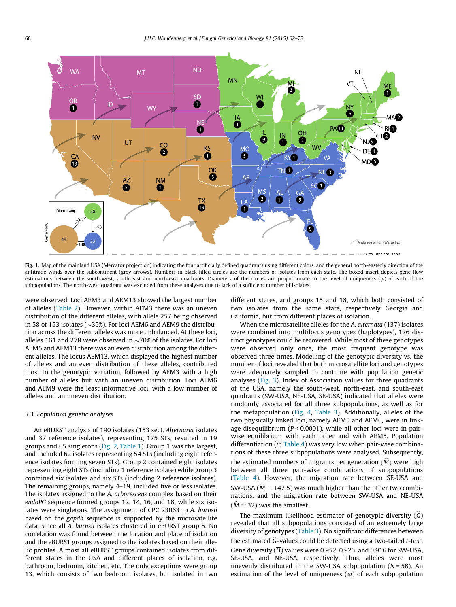<span id="page-6-0"></span>

Fig. 1. Map of the mainland USA (Mercator projection) indicating the four artificially defined quadrants using different colors, and the general north-easterly direction of the antitrade winds over the subcontinent (grey arrows). Numbers in black filled circles are the numbers of isolates from each state. The boxed insert depicts gene flow estimations between the south-west, south-east and north-east quadrants. Diameters of the circles are proportionate to the level of uniqueness  $(\varphi)$  of each of the subpopulations. The north-west quadrant was excluded from these analyses due to lack of a sufficient number of isolates.

were observed. Loci AEM3 and AEM13 showed the largest number of alleles [\(Table 2\)](#page-5-0). However, within AEM3 there was an uneven distribution of the different alleles, with allele 257 being observed in 58 of 153 isolates ( $\sim$ 35%). For loci AEM6 and AEM9 the distribution across the different alleles was more unbalanced. At these loci, alleles 161 and 278 were observed in  ${\sim}70\%$  of the isolates. For loci AEM5 and AEM13 there was an even distribution among the different alleles. The locus AEM13, which displayed the highest number of alleles and an even distribution of these alleles, contributed most to the genotypic variation, followed by AEM3 with a high number of alleles but with an uneven distribution. Loci AEM6 and AEM9 were the least informative loci, with a low number of alleles and an uneven distribution.

#### 3.3. Population genetic analyses

An eBURST analysis of 190 isolates (153 sect. Alternaria isolates and 37 reference isolates), representing 175 STs, resulted in 19 groups and 65 singletons ([Fig. 2,](#page-7-0) [Table 1\)](#page-2-0). Group 1 was the largest, and included 62 isolates representing 54 STs (including eight reference isolates forming seven STs). Group 2 contained eight isolates representing eight STs (including 1 reference isolate) while group 3 contained six isolates and six STs (including 2 reference isolates). The remaining groups, namely 4–19, included five or less isolates. The isolates assigned to the A. arborescens complex based on their endoPG sequence formed groups 12, 14, 16, and 18, while six isolates were singletons. The assignment of CPC 23063 to A. burnsii based on the gapdh sequence is supported by the microsatellite data, since all A. burnsii isolates clustered in eBURST group 5. No correlation was found between the location and place of isolation and the eBURST groups assigned to the isolates based on their allelic profiles. Almost all eBURST groups contained isolates from different states in the USA and different places of isolation, e.g. bathroom, bedroom, kitchen, etc. The only exceptions were group 13, which consists of two bedroom isolates, but isolated in two different states, and groups 15 and 18, which both consisted of two isolates from the same state, respectively Georgia and California, but from different places of isolation.

When the microsatellite alleles for the A. alternata (137) isolates were combined into multilocus genotypes (haplotypes), 126 distinct genotypes could be recovered. While most of these genotypes were observed only once, the most frequent genotype was observed three times. Modelling of the genotypic diversity vs. the number of loci revealed that both microsatellite loci and genotypes were adequately sampled to continue with population genetic analyses [\(Fig. 3](#page-7-0)). Index of Association values for three quadrants of the USA, namely the south-west, north-east, and south-east quadrants (SW-USA, NE-USA, SE-USA) indicated that alleles were randomly associated for all three subpopulations, as well as for the metapopulation ([Fig. 4](#page-8-0), [Table 3](#page-8-0)). Additionally, alleles of the two physically linked loci, namely AEM5 and AEM6, were in linkage disequilibrium ( $P < 0.0001$ ), while all other loci were in pairwise equilibrium with each other and with AEM5. Population differentiation ( $\theta$ ; [Table 4](#page-8-0)) was very low when pair-wise combinations of these three subpopulations were analysed. Subsequently, the estimated numbers of migrants per generation  $(\widehat{M})$  were high between all three pair-wise combinations of subpopulations ([Table 4](#page-8-0)). However, the migration rate between SE-USA and SW-USA ( $\hat{M}$  = 147.5) was much higher than the other two combinations, and the migration rate between SW-USA and NE-USA  $(\widehat{M} \cong 32)$  was the smallest.

The maximum likelihood estimator of genotypic diversity  $(\widehat{G})$ revealed that all subpopulations consisted of an extremely large diversity of genotypes [\(Table 3](#page-8-0)). No significant differences between the estimated  $\hat{G}$ -values could be detected using a two-tailed t-test. Gene diversity  $(\overline{H})$  values were 0.952, 0.923, and 0.916 for SW-USA, SE-USA, and NE-USA, respectively. Thus, alleles were most unevenly distributed in the SW-USA subpopulation  $(N = 58)$ . An estimation of the level of uniqueness ( $\varphi$ ) of each subpopulation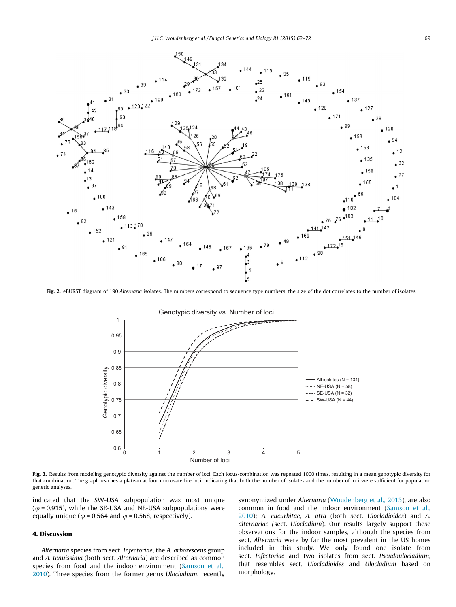<span id="page-7-0"></span>

Fig. 2. eBURST diagram of 190 Alternaria isolates. The numbers correspond to sequence type numbers, the size of the dot correlates to the number of isolates.



Fig. 3. Results from modeling genotypic diversity against the number of loci. Each locus-combination was repeated 1000 times, resulting in a mean genotypic diversity for that combination. The graph reaches a plateau at four microsatellite loci, indicating that both the number of isolates and the number of loci were sufficient for population genetic analyses.

indicated that the SW-USA subpopulation was most unique ( $\varphi$  = 0.915), while the SE-USA and NE-USA subpopulations were equally unique ( $\varphi$  = 0.564 and  $\varphi$  = 0.568, respectively).

# 4. Discussion

Alternaria species from sect. Infectoriae, the A. arborescens group and A. tenuissima (both sect. Alternaria) are described as common species from food and the indoor environment ([Samson et al.,](#page-10-0) [2010](#page-10-0)). Three species from the former genus Ulocladium, recently synonymized under Alternaria ([Woudenberg et al., 2013](#page-10-0)), are also common in food and the indoor environment ([Samson et al.,](#page-10-0) [2010](#page-10-0)); A. cucurbitae, A. atra (both sect. Ulocladioides) and A. alternariae (sect. Ulocladium). Our results largely support these observations for the indoor samples, although the species from sect. Alternaria were by far the most prevalent in the US homes included in this study. We only found one isolate from sect. Infectoriae and two isolates from sect. Pseudoulocladium, that resembles sect. Ulocladioides and Ulocladium based on morphology.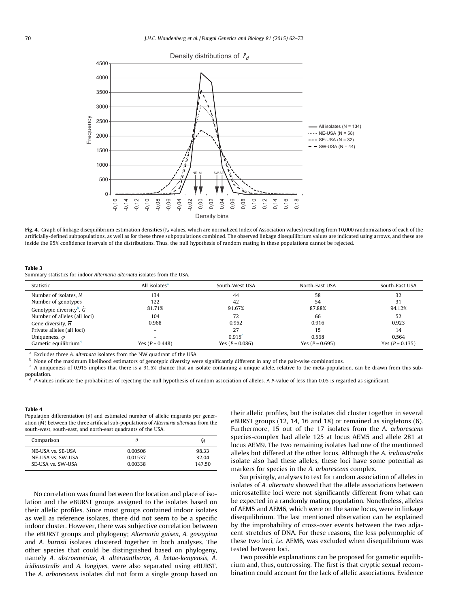<span id="page-8-0"></span>

**Fig. 4.** Graph of linkage disequilibrium estimation densities ( $\bar{r}_d$  values, which are normalized Index of Association values) resulting from 10,000 randomizations of each of the artificially-defined subpopulations, as well as for these three subpopulations combined. The observed linkage disequilibrium values are indicated using arrows, and these are inside the 95% confidence intervals of the distributions. Thus, the null hypothesis of random mating in these populations cannot be rejected.

#### Table 3

Summary statistics for indoor Alternaria alternata isolates from the USA.

| Statistic                                        | All isolates <sup>a</sup> | South-West USA    | North-East USA    | South-East USA    |
|--------------------------------------------------|---------------------------|-------------------|-------------------|-------------------|
| Number of isolates, N                            | 134                       | 44                | 58                | 32                |
| Number of genotypes                              | 122                       | 42                | 54                | 31                |
| Genotypic diversity <sup>b</sup> , $\widehat{G}$ | 81.71%                    | 91.67%            | 87.88%            | 94.12%            |
| Number of alleles (all loci)                     | 104                       | 72                | 66                | 52                |
| Gene diversity, $\overline{H}$                   | 0.968                     | 0.952             | 0.916             | 0.923             |
| Private alleles (all loci)                       | $\overline{\phantom{m}}$  | 27                | 15                | 14                |
| Uniqueness, $\varphi$                            | -                         | 0.915c            | 0.568             | 0.564             |
| Gametic equilibrium <sup>d</sup>                 | Yes $(P = 0.448)$         | Yes $(P = 0.086)$ | Yes $(P = 0.695)$ | Yes $(P = 0.135)$ |

Excludes three A. alternata isolates from the NW quadrant of the USA.

**b** None of the maximum likelihood estimators of genotypic diversity were significantly different in any of the pair-wise combinations.

<sup>c</sup> A uniqueness of 0.915 implies that there is a 91.5% chance that an isolate containing a unique allele, relative to the meta-population, can be drawn from this subpopulation.

 $^1$  P-values indicate the probabilities of rejecting the null hypothesis of random association of alleles. A P-value of less than 0.05 is regarded as significant.

#### Table 4

Population differentiation  $(\theta)$  and estimated number of allelic migrants per generation  $\widehat{M}$ ) between the three artificial sub-populations of Alternaria alternata from the south-west, south-east, and north-east quadrants of the USA.

| Comparison        |         | M      |
|-------------------|---------|--------|
| NE-USA vs. SE-USA | 0.00506 | 9833   |
| NE-USA vs. SW-USA | 0.01537 | 32.04  |
| SE-USA vs. SW-USA | 0.00338 | 147 50 |

No correlation was found between the location and place of isolation and the eBURST groups assigned to the isolates based on their allelic profiles. Since most groups contained indoor isolates as well as reference isolates, there did not seem to be a specific indoor cluster. However, there was subjective correlation between the eBURST groups and phylogeny; Alternaria gaisen, A. gossypina and A. burnsii isolates clustered together in both analyses. The other species that could be distinguished based on phylogeny, namely A. alstroemeriae, A. alternantherae, A. betae-kenyensis, A. iridiaustralis and A. longipes, were also separated using eBURST. The A. arborescens isolates did not form a single group based on

their allelic profiles, but the isolates did cluster together in several eBURST groups (12, 14, 16 and 18) or remained as singletons (6). Furthermore, 15 out of the 17 isolates from the A. arborescens species-complex had allele 125 at locus AEM5 and allele 281 at locus AEM9. The two remaining isolates had one of the mentioned alleles but differed at the other locus. Although the A. iridiaustralis isolate also had these alleles, these loci have some potential as markers for species in the A. arborescens complex.

Surprisingly, analyses to test for random association of alleles in isolates of A. alternata showed that the allele associations between microsatellite loci were not significantly different from what can be expected in a randomly mating population. Nonetheless, alleles of AEM5 and AEM6, which were on the same locus, were in linkage disequilibrium. The last mentioned observation can be explained by the improbability of cross-over events between the two adjacent stretches of DNA. For these reasons, the less polymorphic of these two loci, i.e. AEM6, was excluded when disequilibrium was tested between loci.

Two possible explanations can be proposed for gametic equilibrium and, thus, outcrossing. The first is that cryptic sexual recombination could account for the lack of allelic associations. Evidence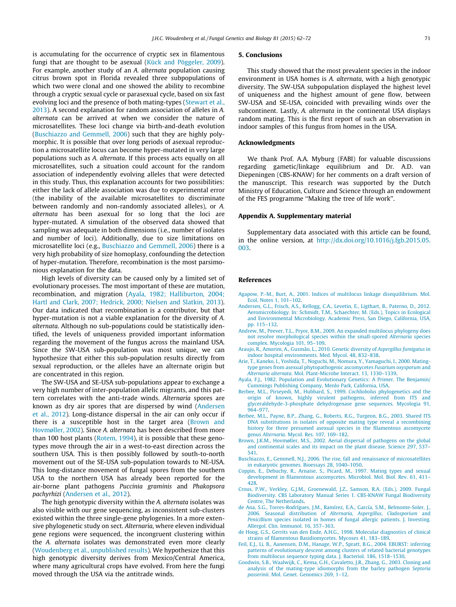<span id="page-9-0"></span>is accumulating for the occurrence of cryptic sex in filamentous fungi that are thought to be asexual [\(Kück and Pöggeler, 2009\)](#page-10-0). For example, another study of an A. alternata population causing citrus brown spot in Florida revealed three subpopulations of which two were clonal and one showed the ability to recombine through a cryptic sexual cycle or parasexual cycle, based on six fast evolving loci and the presence of both mating-types [\(Stewart et al.,](#page-10-0) [2013\)](#page-10-0). A second explanation for random association of alleles in A. alternata can be arrived at when we consider the nature of microsatellites. These loci change via birth-and-death evolution (Buschiazzo and Gemmell, 2006) such that they are highly polymorphic. It is possible that over long periods of asexual reproduction a microsatellite locus can become hyper-mutated in very large populations such as A. alternata. If this process acts equally on all microsatellites, such a situation could account for the random association of independently evolving alleles that were detected in this study. Thus, this explanation accounts for two possibilities: either the lack of allele association was due to experimental error (the inability of the available microsatellites to discriminate between randomly and non-randomly associated alleles), or A. alternata has been asexual for so long that the loci are hyper-mutated. A simulation of the observed data showed that sampling was adequate in both dimensions (i.e., number of isolates and number of loci). Additionally, due to size limitations on microsatellite loci (e.g., Buschiazzo and Gemmell, 2006) there is a very high probability of size homoplasy, confounding the detection of hyper-mutation. Therefore, recombination is the most parsimonious explanation for the data.

High levels of diversity can be caused only by a limited set of evolutionary processes. The most important of these are mutation, recombination, and migration (Ayala, 1982; Halliburton, 2004; Hartl and Clark, 2007; Hedrick, 2000; Nielsen and Slatkin, 2013). Our data indicated that recombination is a contributor, but that hyper-mutation is not a viable explanation for the diversity of A. alternata. Although no sub-populations could be statistically identified, the levels of uniqueness provided important information regarding the movement of the fungus across the mainland USA. Since the SW-USA sub-population was most unique, we can hypothesize that either this sub-population results directly from sexual reproduction, or the alleles have an alternate origin but are concentrated in this region.

The SW-USA and SE-USA sub-populations appear to exchange a very high number of inter-population allelic migrants, and this pattern correlates with the anti-trade winds. Alternaria spores are known as dry air spores that are dispersed by wind (Andersen et al., 2012). Long-distance dispersal in the air can only occur if there is a susceptible host in the target area (Brown and Hovmøller, 2002). Since A. alternata has been described from more than 100 host plants [\(Rotem, 1994](#page-10-0)), it is possible that these genotypes move through the air in a west-to-east direction across the southern USA. This is then possibly followed by south-to-north movement out of the SE-USA sub-population towards to NE-USA. This long-distance movement of fungal spores from the southern USA to the northern USA has already been reported for the air-borne plant pathogens Puccinia graminis and Phakopsora pachyrhizi (Andersen et al., 2012).

The high genotypic diversity within the A. alternata isolates was also visible with our gene sequencing, as inconsistent sub-clusters existed within the three single-gene phylogenies. In a more extensive phylogenetic study on sect. Alternaria, where eleven individual gene regions were sequenced, the incongruent clustering within the A. alternata isolates was demonstrated even more clearly ([Woudenberg et al., unpublished results\)](#page-10-0). We hypothesize that this high genotypic diversity derives from Mexico/Central America, where many agricultural crops have evolved. From here the fungi moved through the USA via the antitrade winds.

#### 5. Conclusions

This study showed that the most prevalent species in the indoor environment in USA homes is A. alternata, with a high genotypic diversity. The SW-USA subpopulation displayed the highest level of uniqueness and the highest amount of gene flow, between SW-USA and SE-USA, coincided with prevailing winds over the subcontinent. Lastly, A. alternata in the continental USA displays random mating. This is the first report of such an observation in indoor samples of this fungus from homes in the USA.

#### Acknowledgments

We thank Prof. A.A. Myburg (FABI) for valuable discussions regarding gametic/linkage equilibrium and Dr. A.D. van Diepeningen (CBS-KNAW) for her comments on a draft version of the manuscript. This research was supported by the Dutch Ministry of Education, Culture and Science through an endowment of the FES programme ''Making the tree of life work''.

#### Appendix A. Supplementary material

Supplementary data associated with this article can be found, in the online version, at [http://dx.doi.org/10.1016/j.fgb.2015.05.](http://dx.doi.org/10.1016/j.fgb.2015.05.003) [003.](http://dx.doi.org/10.1016/j.fgb.2015.05.003)

#### References

- [Agapow, P.-M., Burt, A., 2001. Indices of multilocus linkage disequilibrium. Mol.](http://refhub.elsevier.com/S1087-1845(15)00099-7/h0005) [Ecol. Notes 1, 101–102](http://refhub.elsevier.com/S1087-1845(15)00099-7/h0005).
- [Andersen, G.L., Frisch, A.S., Kellogg, C.A., Levetin, E., Ligthart, B., Paterno, D., 2012.](http://refhub.elsevier.com/S1087-1845(15)00099-7/h0010) [Aeromicrobiology. In: Schmidt, T.M., Schaechter, M. \(Eds.\), Topics in Ecological](http://refhub.elsevier.com/S1087-1845(15)00099-7/h0010) [and Environmental Microbiology. Academic Press, San Diego, California, USA,](http://refhub.elsevier.com/S1087-1845(15)00099-7/h0010) [pp. 115–132.](http://refhub.elsevier.com/S1087-1845(15)00099-7/h0010)
- [Andrew, M., Peever, T.L., Pryor, B.M., 2009. An expanded multilocus phylogeny does](http://refhub.elsevier.com/S1087-1845(15)00099-7/h0015) [not resolve morphological species within the small-spored](http://refhub.elsevier.com/S1087-1845(15)00099-7/h0015) Alternaria species [complex. Mycologia 101, 95–109](http://refhub.elsevier.com/S1087-1845(15)00099-7/h0015).
- [Araujo, R., Amorim, A., Gusmão, L., 2010. Genetic diversity of](http://refhub.elsevier.com/S1087-1845(15)00099-7/h0020) Aspergillus fumigatus in [indoor hospital environments. Med. Mycol. 48, 832–838.](http://refhub.elsevier.com/S1087-1845(15)00099-7/h0020)
- [Arie, T., Kaneko, I., Yoshida, T., Noguchi, M., Nomura, Y., Yamaguchi, I., 2000. Mating](http://refhub.elsevier.com/S1087-1845(15)00099-7/h0025)[type genes from asexual phytopathogenic ascomycetes](http://refhub.elsevier.com/S1087-1845(15)00099-7/h0025) Fusarium oxysporum and Alternaria alternata[. Mol. Plant-Microbe Interact. 13, 1330–1339.](http://refhub.elsevier.com/S1087-1845(15)00099-7/h0025)
- [Ayala, F.J., 1982. Population and Evolutionary Genetics: A Primer. The Benjamin/](http://refhub.elsevier.com/S1087-1845(15)00099-7/h0030) [Cummings Publishing Company, Menlo Park, California, USA.](http://refhub.elsevier.com/S1087-1845(15)00099-7/h0030)
- [Berbee, M.L., Pirseyedi, M., Hubbard, S., 1999.](http://refhub.elsevier.com/S1087-1845(15)00099-7/h0035) Cochliobolus phylogenetics and the [origin of known, highly virulent pathogens, inferred from ITS and](http://refhub.elsevier.com/S1087-1845(15)00099-7/h0035) [glyceraldehyde-3-phosphate dehydrogenase gene sequences. Mycologia 91,](http://refhub.elsevier.com/S1087-1845(15)00099-7/h0035) [964–977](http://refhub.elsevier.com/S1087-1845(15)00099-7/h0035).
- [Berbee, M.L., Payne, B.P., Zhang, G., Roberts, R.G., Turgeon, B.G., 2003. Shared ITS](http://refhub.elsevier.com/S1087-1845(15)00099-7/h0040) [DNA substitutions in isolates of opposite mating type reveal a recombining](http://refhub.elsevier.com/S1087-1845(15)00099-7/h0040) [history for three presumed asexual species in the filamentous ascomycete](http://refhub.elsevier.com/S1087-1845(15)00099-7/h0040) genus Alternaria[. Mycol. Res. 107, 169–182.](http://refhub.elsevier.com/S1087-1845(15)00099-7/h0040)
- [Brown, J.K.M., Hovmøller, M.S., 2002. Aerial dispersal of pathogens on the global](http://refhub.elsevier.com/S1087-1845(15)00099-7/h0045) [and continental scales and its impact on the plant disease. Science 297, 537–](http://refhub.elsevier.com/S1087-1845(15)00099-7/h0045) [541.](http://refhub.elsevier.com/S1087-1845(15)00099-7/h0045)
- [Buschiazzo, E., Gemmell, N.J., 2006. The rise, fall and renaissance of microsatellites](http://refhub.elsevier.com/S1087-1845(15)00099-7/h0050) [in eukaryotic genomes. Bioessays 28, 1040–1050.](http://refhub.elsevier.com/S1087-1845(15)00099-7/h0050)
- [Coppin, E., Debuchy, R., Arnaise, S., Picard, M., 1997. Mating types and sexual](http://refhub.elsevier.com/S1087-1845(15)00099-7/h0055) [development in filamentous ascomycetes. Microbiol. Mol. Biol. Rev. 61, 411–](http://refhub.elsevier.com/S1087-1845(15)00099-7/h0055) [428.](http://refhub.elsevier.com/S1087-1845(15)00099-7/h0055)
- [Crous, P.W., Verkley, G.J.M., Groenewald, J.Z., Samson, R.A. \(Eds.\), 2009. Fungal](http://refhub.elsevier.com/S1087-1845(15)00099-7/h0060) [Biodiversity. CBS Laboratory Manual Series 1. CBS-KNAW Fungal Biodiversity](http://refhub.elsevier.com/S1087-1845(15)00099-7/h0060) [Centre, The Netherlands.](http://refhub.elsevier.com/S1087-1845(15)00099-7/h0060)
- [de Ana, S.G., Torres-Rodrígues, J.M., Ramírez, E.A., García, S.M., Belmonte-Soler, J.,](http://refhub.elsevier.com/S1087-1845(15)00099-7/h0065) [2006. Seasonal distribution of](http://refhub.elsevier.com/S1087-1845(15)00099-7/h0065) Alternaria, Aspergillus, Cladosporium and Penicillium [species isolated in homes of fungal allergic patients. J. Investing.](http://refhub.elsevier.com/S1087-1845(15)00099-7/h0065) [Allergol. Clin. Immunol. 16, 357–363.](http://refhub.elsevier.com/S1087-1845(15)00099-7/h0065)
- [de Hoog, G.S., Gerrits van den Ende, A.H.G., 1998. Molecular diagnostics of clinical](http://refhub.elsevier.com/S1087-1845(15)00099-7/h0070) [strains of filamentous Basidiomycetes. Mycoses 41, 183–189](http://refhub.elsevier.com/S1087-1845(15)00099-7/h0070).
- [Feil, E.J., Li, B., Aanensen, D.M., Hanage, W.P., Spratt, B.G., 2004. EBURST: inferring](http://refhub.elsevier.com/S1087-1845(15)00099-7/h0075) [patterns of evolutionary descent among clusters of related bacterial genotypes](http://refhub.elsevier.com/S1087-1845(15)00099-7/h0075) [from multilocus sequence typing data. J. Bacteriol. 186, 1518–1530](http://refhub.elsevier.com/S1087-1845(15)00099-7/h0075).
- [Goodwin, S.B., Waalwijk, C., Kema, G.H., Cavaletto, J.R., Zhang, G., 2003. Cloning and](http://refhub.elsevier.com/S1087-1845(15)00099-7/h0080) [analysis of the mating-type idiomorphs from the barley pathogen](http://refhub.elsevier.com/S1087-1845(15)00099-7/h0080) Septoria passerinii[. Mol. Genet. Genomics 269, 1–12.](http://refhub.elsevier.com/S1087-1845(15)00099-7/h0080)